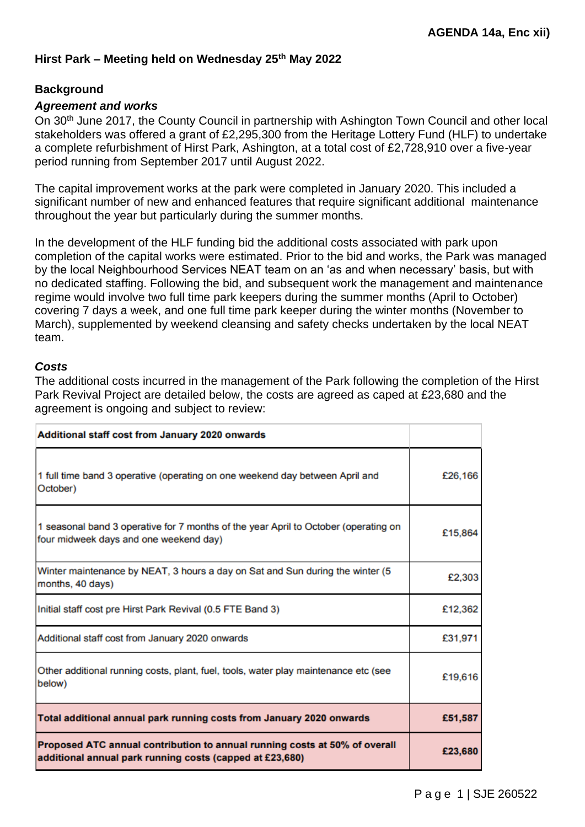### **Background**

### *Agreement and works*

On 30<sup>th</sup> June 2017, the County Council in partnership with Ashington Town Council and other local stakeholders was offered a grant of £2,295,300 from the Heritage Lottery Fund (HLF) to undertake a complete refurbishment of Hirst Park, Ashington, at a total cost of £2,728,910 over a five-year period running from September 2017 until August 2022.

The capital improvement works at the park were completed in January 2020. This included a significant number of new and enhanced features that require significant additional maintenance throughout the year but particularly during the summer months.

In the development of the HLF funding bid the additional costs associated with park upon completion of the capital works were estimated. Prior to the bid and works, the Park was managed by the local Neighbourhood Services NEAT team on an 'as and when necessary' basis, but with no dedicated staffing. Following the bid, and subsequent work the management and maintenance regime would involve two full time park keepers during the summer months (April to October) covering 7 days a week, and one full time park keeper during the winter months (November to March), supplemented by weekend cleansing and safety checks undertaken by the local NEAT team.

#### *Costs*

The additional costs incurred in the management of the Park following the completion of the Hirst Park Revival Project are detailed below, the costs are agreed as caped at £23,680 and the agreement is ongoing and subject to review:

| Additional staff cost from January 2020 onwards                                                                                        |         |
|----------------------------------------------------------------------------------------------------------------------------------------|---------|
| 1 full time band 3 operative (operating on one weekend day between April and<br>October)                                               | £26,166 |
| 1 seasonal band 3 operative for 7 months of the year April to October (operating on<br>four midweek days and one weekend day)          | £15,864 |
| Winter maintenance by NEAT, 3 hours a day on Sat and Sun during the winter (5<br>months, 40 days)                                      | £2,303  |
| Initial staff cost pre Hirst Park Revival (0.5 FTE Band 3)                                                                             | £12,362 |
| Additional staff cost from January 2020 onwards                                                                                        | £31,971 |
| Other additional running costs, plant, fuel, tools, water play maintenance etc (see<br>below)                                          | £19,616 |
| Total additional annual park running costs from January 2020 onwards                                                                   | £51,587 |
| Proposed ATC annual contribution to annual running costs at 50% of overall<br>additional annual park running costs (capped at £23,680) | £23,680 |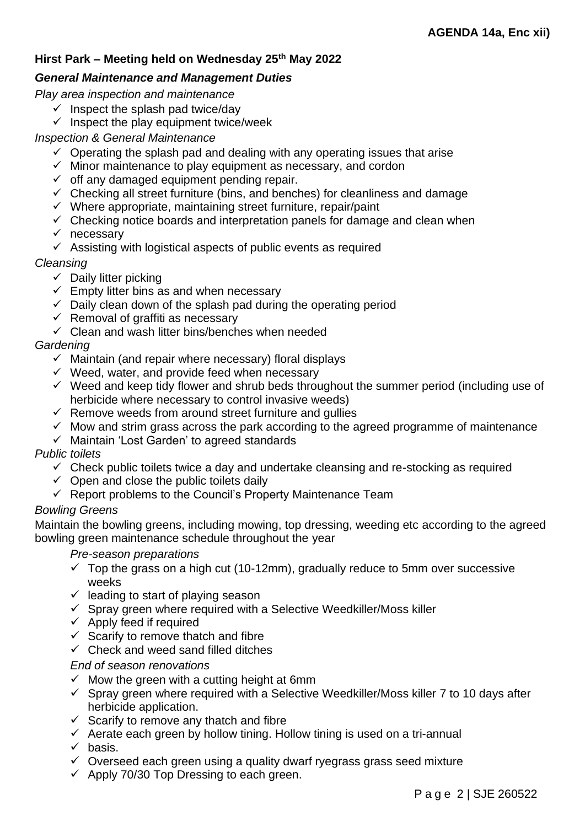## *General Maintenance and Management Duties*

*Play area inspection and maintenance*

- $\checkmark$  Inspect the splash pad twice/day
- $\checkmark$  Inspect the play equipment twice/week

## *Inspection & General Maintenance*

- $\checkmark$  Operating the splash pad and dealing with any operating issues that arise
- $\checkmark$  Minor maintenance to play equipment as necessary, and cordon
- $\checkmark$  off any damaged equipment pending repair.
- $\checkmark$  Checking all street furniture (bins, and benches) for cleanliness and damage
- $\checkmark$  Where appropriate, maintaining street furniture, repair/paint
- $\checkmark$  Checking notice boards and interpretation panels for damage and clean when
- ✓ necessary
- $\checkmark$  Assisting with logistical aspects of public events as required

### *Cleansing*

- $\checkmark$  Daily litter picking
- $\checkmark$  Empty litter bins as and when necessary
- $\checkmark$  Daily clean down of the splash pad during the operating period
- $\checkmark$  Removal of graffiti as necessary
- $\checkmark$  Clean and wash litter bins/benches when needed

# *Gardening*

- $\checkmark$  Maintain (and repair where necessary) floral displays
- $\checkmark$  Weed, water, and provide feed when necessary
- $\checkmark$  Weed and keep tidy flower and shrub beds throughout the summer period (including use of herbicide where necessary to control invasive weeds)
- $\checkmark$  Remove weeds from around street furniture and gullies
- $\checkmark$  Mow and strim grass across the park according to the agreed programme of maintenance
- ✓ Maintain 'Lost Garden' to agreed standards

# *Public toilets*

- $\checkmark$  Check public toilets twice a day and undertake cleansing and re-stocking as required
- $\checkmark$  Open and close the public toilets daily
- $\checkmark$  Report problems to the Council's Property Maintenance Team

# *Bowling Greens*

Maintain the bowling greens, including mowing, top dressing, weeding etc according to the agreed bowling green maintenance schedule throughout the year

#### *Pre-season preparations*

- $\checkmark$  Top the grass on a high cut (10-12mm), gradually reduce to 5mm over successive weeks
- $\checkmark$  leading to start of playing season
- $\checkmark$  Spray green where required with a Selective Weedkiller/Moss killer
- $\checkmark$  Apply feed if required
- $\checkmark$  Scarify to remove thatch and fibre
- $\checkmark$  Check and weed sand filled ditches

#### *End of season renovations*

- $\checkmark$  Mow the green with a cutting height at 6mm
- $\checkmark$  Spray green where required with a Selective Weedkiller/Moss killer 7 to 10 days after herbicide application.
- $\checkmark$  Scarify to remove any thatch and fibre
- ✓ Aerate each green by hollow tining. Hollow tining is used on a tri-annual
- $\checkmark$  basis.
- ✓ Overseed each green using a quality dwarf ryegrass grass seed mixture
- $\checkmark$  Apply 70/30 Top Dressing to each green.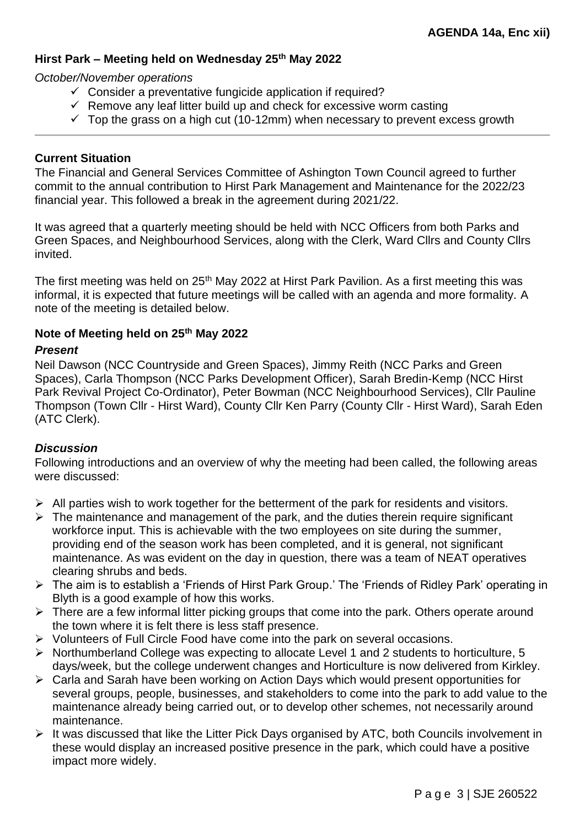#### *October/November operations*

- $\checkmark$  Consider a preventative fungicide application if required?
- $\checkmark$  Remove any leaf litter build up and check for excessive worm casting
- $\checkmark$  Top the grass on a high cut (10-12mm) when necessary to prevent excess growth

### **Current Situation**

The Financial and General Services Committee of Ashington Town Council agreed to further commit to the annual contribution to Hirst Park Management and Maintenance for the 2022/23 financial year. This followed a break in the agreement during 2021/22.

It was agreed that a quarterly meeting should be held with NCC Officers from both Parks and Green Spaces, and Neighbourhood Services, along with the Clerk, Ward Cllrs and County Cllrs invited.

The first meeting was held on 25<sup>th</sup> May 2022 at Hirst Park Pavilion. As a first meeting this was informal, it is expected that future meetings will be called with an agenda and more formality. A note of the meeting is detailed below.

#### **Note of Meeting held on 25th May 2022**

#### *Present*

Neil Dawson (NCC Countryside and Green Spaces), Jimmy Reith (NCC Parks and Green Spaces), Carla Thompson (NCC Parks Development Officer), Sarah Bredin-Kemp (NCC Hirst Park Revival Project Co-Ordinator), Peter Bowman (NCC Neighbourhood Services), Cllr Pauline Thompson (Town Cllr - Hirst Ward), County Cllr Ken Parry (County Cllr - Hirst Ward), Sarah Eden (ATC Clerk).

### *Discussion*

Following introductions and an overview of why the meeting had been called, the following areas were discussed:

- $\triangleright$  All parties wish to work together for the betterment of the park for residents and visitors.
- $\triangleright$  The maintenance and management of the park, and the duties therein require significant workforce input. This is achievable with the two employees on site during the summer, providing end of the season work has been completed, and it is general, not significant maintenance. As was evident on the day in question, there was a team of NEAT operatives clearing shrubs and beds.
- ➢ The aim is to establish a 'Friends of Hirst Park Group.' The 'Friends of Ridley Park' operating in Blyth is a good example of how this works.
- ➢ There are a few informal litter picking groups that come into the park. Others operate around the town where it is felt there is less staff presence.
- ➢ Volunteers of Full Circle Food have come into the park on several occasions.
- ➢ Northumberland College was expecting to allocate Level 1 and 2 students to horticulture, 5 days/week, but the college underwent changes and Horticulture is now delivered from Kirkley.
- ➢ Carla and Sarah have been working on Action Days which would present opportunities for several groups, people, businesses, and stakeholders to come into the park to add value to the maintenance already being carried out, or to develop other schemes, not necessarily around maintenance.
- $\triangleright$  It was discussed that like the Litter Pick Days organised by ATC, both Councils involvement in these would display an increased positive presence in the park, which could have a positive impact more widely.